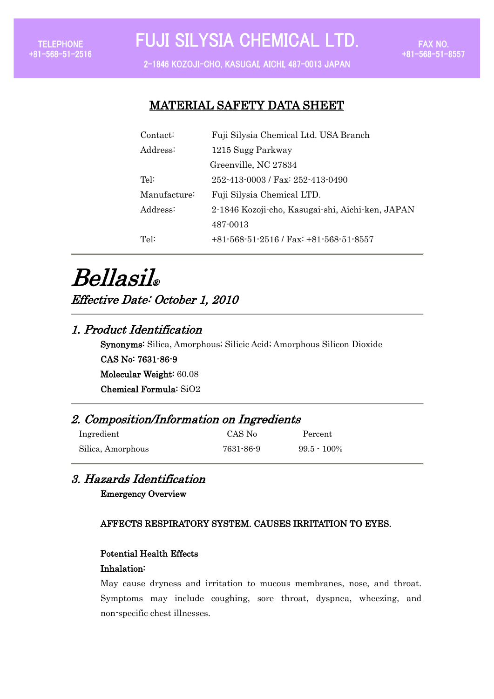2-1846 KOZOJI-CHO, KASUGAI, AICHI, 487-0013 JAPAN

# MATERIAL SAFETY DATA SHEET

| Contact:     | Fuji Silysia Chemical Ltd. USA Branch                  |
|--------------|--------------------------------------------------------|
| Address:     | 1215 Sugg Parkway                                      |
|              | Greenville, NC 27834                                   |
| Tel:         | 252-413-0003 / Fax: 252-413-0490                       |
| Manufacture: | Fuji Silysia Chemical LTD.                             |
| Address:     | 2-1846 Kozoji-cho, Kasugai-shi, Aichi-ken, JAPAN       |
|              | 487-0013                                               |
| Tel:         | $+81 - 568 - 51 - 2516$ / Fax: $+81 - 568 - 51 - 8557$ |
|              |                                                        |

# Bellasil® Effective Date: October 1, 2010

# 1. Product Identification

Synonyms: Silica, Amorphous; Silicic Acid; Amorphous Silicon Dioxide CAS No: 7631-86-9 Molecular Weight: 60.08 Chemical Formula: SiO2

| 2. Composition/Information on Ingredients |           |                |  |  |
|-------------------------------------------|-----------|----------------|--|--|
| Ingredient                                | CAS No    | Percent        |  |  |
| Silica, Amorphous                         | 7631-86-9 | $99.5 - 100\%$ |  |  |

# 3. Hazards Identification Emergency Overview

## AFFECTS RESPIRATORY SYSTEM. CAUSES IRRITATION TO EYES.

## Potential Health Effects

## Inhalation:

May cause dryness and irritation to mucous membranes, nose, and throat. Symptoms may include coughing, sore throat, dyspnea, wheezing, and non-specific chest illnesses.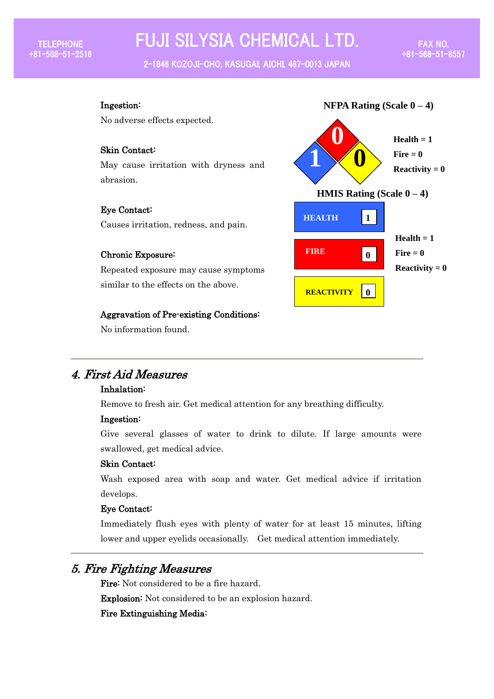### **TELEPHONE**  $+81 - 568 - 51 - 2516$

# **FUJI SILYSIA CHEMICAL LTD.**

2-1846 KOZOJI-CHO, KASUGAI, AICHI, 487-0013 JAPAN



### Aggravation of Pre-existing Conditions:

No information found.

# 4. First Aid Measures

## Inhalation:

Remove to fresh air. Get medical attention for any breathing difficulty.

## Ingestion:

Give several glasses of water to drink to dilute. If large amounts were swallowed, get medical advice.

## Skin Contact:

Wash exposed area with soap and water. Get medical advice if irritation develops.

## Eye Contact:

Immediately flush eyes with plenty of water for at least 15 minutes, lifting lower and upper eyelids occasionally. Get medical attention immediately.

# 5. Fire Fighting Measures

Fire: Not considered to be a fire hazard.

Explosion: Not considered to be an explosion hazard.

## Fire Extinguishing Media: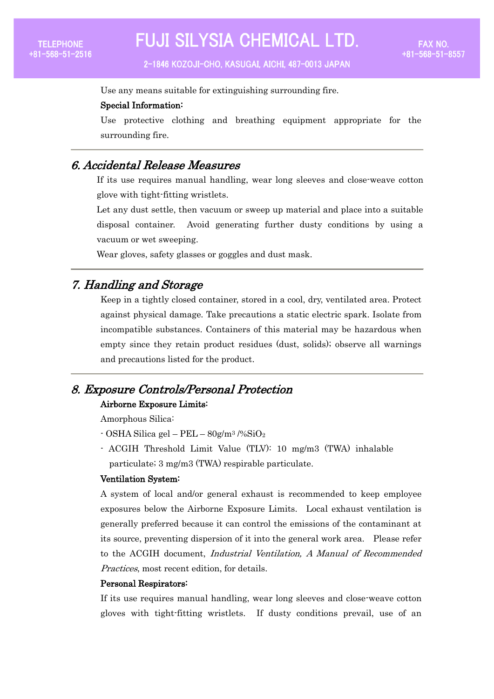2-1846 KOZOJI-CHO, KASUGAI, AICHI, 487-0013 JAPAN

Use any means suitable for extinguishing surrounding fire.

#### Special Information:

Use protective clothing and breathing equipment appropriate for the surrounding fire.

## 6. Accidental Release Measures

 If its use requires manual handling, wear long sleeves and close-weave cotton glove with tight-fitting wristlets.

 Let any dust settle, then vacuum or sweep up material and place into a suitable disposal container. Avoid generating further dusty conditions by using a vacuum or wet sweeping.

Wear gloves, safety glasses or goggles and dust mask.

## 7. Handling and Storage

Keep in a tightly closed container, stored in a cool, dry, ventilated area. Protect against physical damage. Take precautions a static electric spark. Isolate from incompatible substances. Containers of this material may be hazardous when empty since they retain product residues (dust, solids); observe all warnings and precautions listed for the product.

# 8. Exposure Controls/Personal Protection Airborne Exposure Limits:

Amorphous Silica:

- $-$  OSHA Silica gel PEL  $80g/m^3$  /%SiO<sub>2</sub>
- ACGIH Threshold Limit Value (TLV): 10 mg/m3 (TWA) inhalable particulate; 3 mg/m3 (TWA) respirable particulate.

#### Ventilation System:

A system of local and/or general exhaust is recommended to keep employee exposures below the Airborne Exposure Limits. Local exhaust ventilation is generally preferred because it can control the emissions of the contaminant at its source, preventing dispersion of it into the general work area. Please refer to the ACGIH document, Industrial Ventilation, A Manual of Recommended Practices, most recent edition, for details.

#### Personal Respirators:

If its use requires manual handling, wear long sleeves and close-weave cotton gloves with tight-fitting wristlets. If dusty conditions prevail, use of an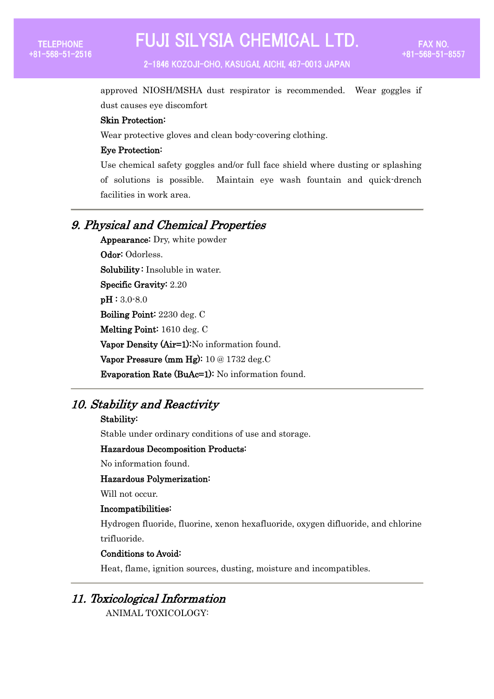# **FUJI SILYSIA CHEMICAL LTD.**

2-1846 KOZOJI-CHO, KASUGAI, AICHI, 487-0013 JAPAN

approved NIOSH/MSHA dust respirator is recommended. Wear goggles if dust causes eye discomfort

#### Skin Protection:

Wear protective gloves and clean body-covering clothing.

### Eye Protection:

Use chemical safety goggles and/or full face shield where dusting or splashing of solutions is possible. Maintain eye wash fountain and quick-drench facilities in work area.

## 9. Physical and Chemical Properties

Appearance: Dry, white powder Odor: Odorless. Solubility : Insoluble in water. Specific Gravity: 2.20 pH : 3.0-8.0 Boiling Point: 2230 deg. C Melting Point: 1610 deg. C Vapor Density (Air=1):No information found. Vapor Pressure (mm Hg): 10 @ 1732 deg.C Evaporation Rate (BuAc=1): No information found.

# 10. Stability and Reactivity

#### Stability:

Stable under ordinary conditions of use and storage.

#### Hazardous Decomposition Products:

No information found.

#### Hazardous Polymerization:

Will not occur.

#### Incompatibilities:

Hydrogen fluoride, fluorine, xenon hexafluoride, oxygen difluoride, and chlorine trifluoride.

#### Conditions to Avoid:

Heat, flame, ignition sources, dusting, moisture and incompatibles.

## 11. Toxicological Information

ANIMAL TOXICOLOGY: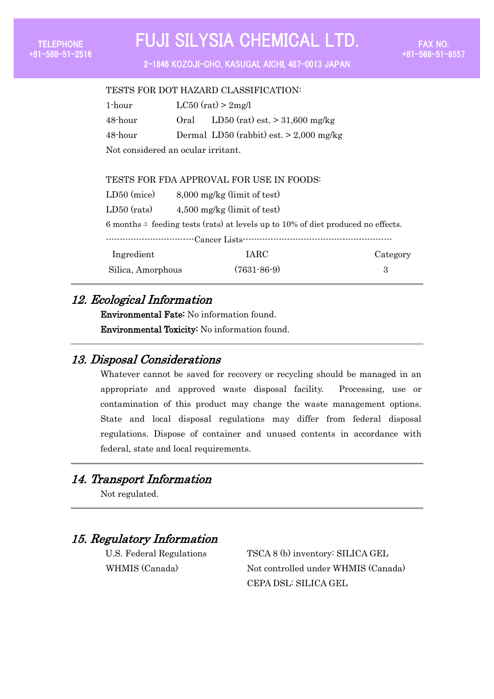# FUJI SILYSIA CHEMICAL LTD.

2-1846 KOZOJI-CHO, KASUGAI, AICHI, 487-0013 JAPAN

### TESTS FOR DOT HAZARD CLASSIFICATION:

| 1-hour  |      | $LC50$ (rat) > 2mg/l                      |
|---------|------|-------------------------------------------|
| 48-hour | Oral | LD50 (rat) est. $> 31,600$ mg/kg          |
| 48-hour |      | Dermal LD50 (rabbit) est. $> 2,000$ mg/kg |
|         |      |                                           |

Not considered an ocular irritant.

#### TESTS FOR FDA APPROVAL FOR USE IN FOODS:

| $LD50$ (mice)     | $8,000$ mg/kg (limit of test)                                                                |          |
|-------------------|----------------------------------------------------------------------------------------------|----------|
| $LD50$ (rats)     | $4,500$ mg/kg (limit of test)                                                                |          |
|                   | 6 months $\frac{1}{x}$ feeding tests (rats) at levels up to 10% of diet produced no effects. |          |
|                   | -Cancer Lists-                                                                               |          |
| Ingredient        | <b>IARC</b>                                                                                  | Category |
| Silica, Amorphous | $(7631 - 86 - 9)$                                                                            | 3        |

# 12. Ecological Information

Environmental Fate: No information found. Environmental Toxicity: No information found.

## 13. Disposal Considerations

Whatever cannot be saved for recovery or recycling should be managed in an appropriate and approved waste disposal facility. Processing, use or contamination of this product may change the waste management options. State and local disposal regulations may differ from federal disposal regulations. Dispose of container and unused contents in accordance with federal, state and local requirements.

# 14. Transport Information

Not regulated.

# 15. Regulatory Information

 U.S. Federal Regulations TSCA 8 (b) inventory: SILICA GEL WHMIS (Canada) Not controlled under WHMIS (Canada) CEPA DSL: SILICA GEL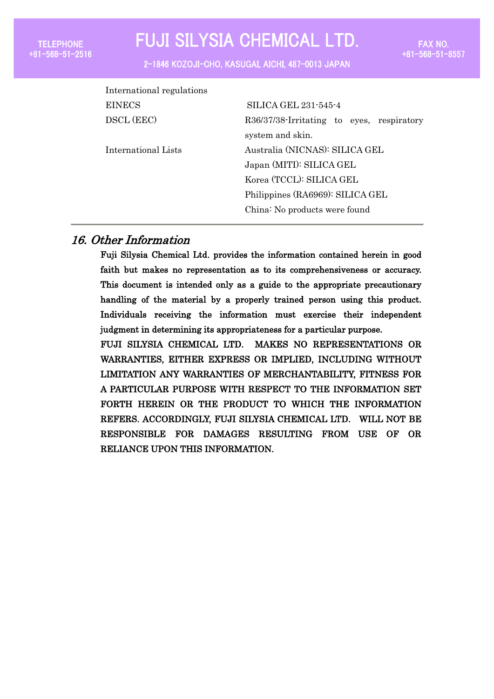# FUJI SILYSIA CHEMICAL LTD.

2-1846 KOZOJI-CHO, KASUGAI, AICHI, 487-0013 JAPAN

| International regulations |                                           |  |
|---------------------------|-------------------------------------------|--|
| <b>EINECS</b>             | <b>SILICA GEL 231-545-4</b>               |  |
| DSCL (EEC)                | R36/37/38-Irritating to eyes, respiratory |  |
|                           | system and skin.                          |  |
| International Lists       | Australia (NICNAS): SILICA GEL            |  |
|                           | Japan (MITI): SILICA GEL                  |  |
|                           | Korea (TCCL): SILICA GEL                  |  |
|                           | Philippines (RA6969): SILICA GEL          |  |
|                           | China: No products were found             |  |

# 16. Other Information

Fuji Silysia Chemical Ltd. provides the information contained herein in good faith but makes no representation as to its comprehensiveness or accuracy. This document is intended only as a guide to the appropriate precautionary handling of the material by a properly trained person using this product. Individuals receiving the information must exercise their independent judgment in determining its appropriateness for a particular purpose.

FUJI SILYSIA CHEMICAL LTD. MAKES NO REPRESENTATIONS OR WARRANTIES, EITHER EXPRESS OR IMPLIED, INCLUDING WITHOUT LIMITATION ANY WARRANTIES OF MERCHANTABILITY, FITNESS FOR A PARTICULAR PURPOSE WITH RESPECT TO THE INFORMATION SET FORTH HEREIN OR THE PRODUCT TO WHICH THE INFORMATION REFERS. ACCORDINGLY, FUJI SILYSIA CHEMICAL LTD. WILL NOT BE RESPONSIBLE FOR DAMAGES RESULTING FROM USE OF OR RELIANCE UPON THIS INFORMATION.